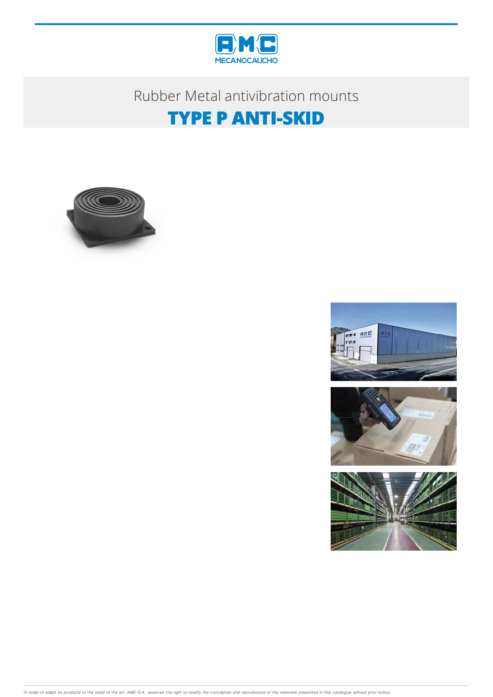

### Rubber Metal antivibration mounts

# **TYPE P ANTI-SKID**









In order to adapt its products to the state of the art, AMC S.A. reserves the right to modify the conception and manufacture of the materials presented in this catalogue without prior notice.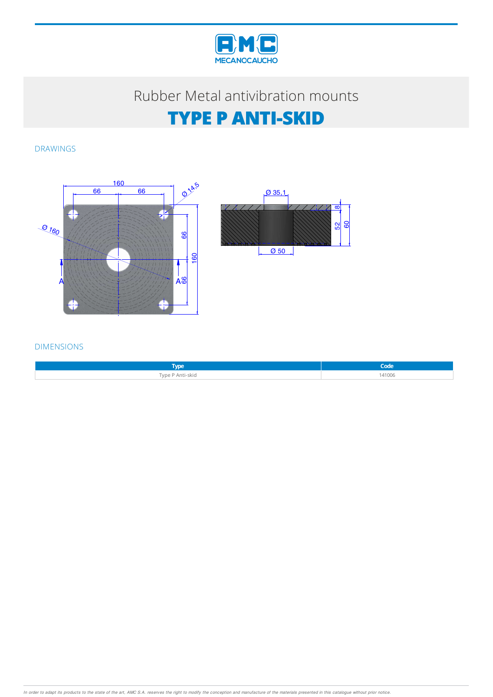

### Rubber Metal antivibration mounts

# **TYPE P ANTI-SKID**

DRAWINGS





#### DIMENSIONS

| <b>Surger</b><br>$\mathbf{v}$ |        |
|-------------------------------|--------|
| Type P Anti-skid              | 141006 |